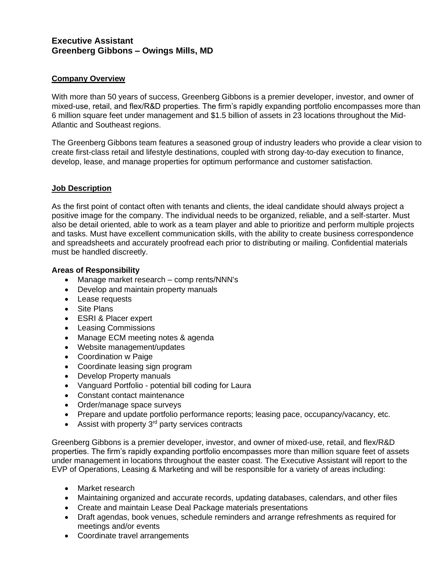# **Executive Assistant Greenberg Gibbons – Owings Mills, MD**

## **Company Overview**

With more than 50 years of success, Greenberg Gibbons is a premier developer, investor, and owner of mixed-use, retail, and flex/R&D properties. The firm's rapidly expanding portfolio encompasses more than 6 million square feet under management and \$1.5 billion of assets in 23 locations throughout the Mid-Atlantic and Southeast regions.

The Greenberg Gibbons team features a seasoned group of industry leaders who provide a clear vision to create first-class retail and lifestyle destinations, coupled with strong day-to-day execution to finance, develop, lease, and manage properties for optimum performance and customer satisfaction.

#### **Job Description**

As the first point of contact often with tenants and clients, the ideal candidate should always project a positive image for the company. The individual needs to be organized, reliable, and a self-starter. Must also be detail oriented, able to work as a team player and able to prioritize and perform multiple projects and tasks. Must have excellent communication skills, with the ability to create business correspondence and spreadsheets and accurately proofread each prior to distributing or mailing. Confidential materials must be handled discreetly.

#### **Areas of Responsibility**

- Manage market research comp rents/NNN's
- Develop and maintain property manuals
- Lease requests
- Site Plans
- ESRI & Placer expert
- Leasing Commissions
- Manage ECM meeting notes & agenda
- Website management/updates
- Coordination w Paige
- Coordinate leasing sign program
- Develop Property manuals
- Vanguard Portfolio potential bill coding for Laura
- Constant contact maintenance
- Order/manage space surveys
- Prepare and update portfolio performance reports; leasing pace, occupancy/vacancy, etc.
- Assist with property  $3<sup>rd</sup>$  party services contracts

Greenberg Gibbons is a premier developer, investor, and owner of mixed-use, retail, and flex/R&D properties. The firm's rapidly expanding portfolio encompasses more than million square feet of assets under management in locations throughout the easter coast. The Executive Assistant will report to the EVP of Operations, Leasing & Marketing and will be responsible for a variety of areas including:

- Market research
- Maintaining organized and accurate records, updating databases, calendars, and other files
- Create and maintain Lease Deal Package materials presentations
- Draft agendas, book venues, schedule reminders and arrange refreshments as required for meetings and/or events
- Coordinate travel arrangements